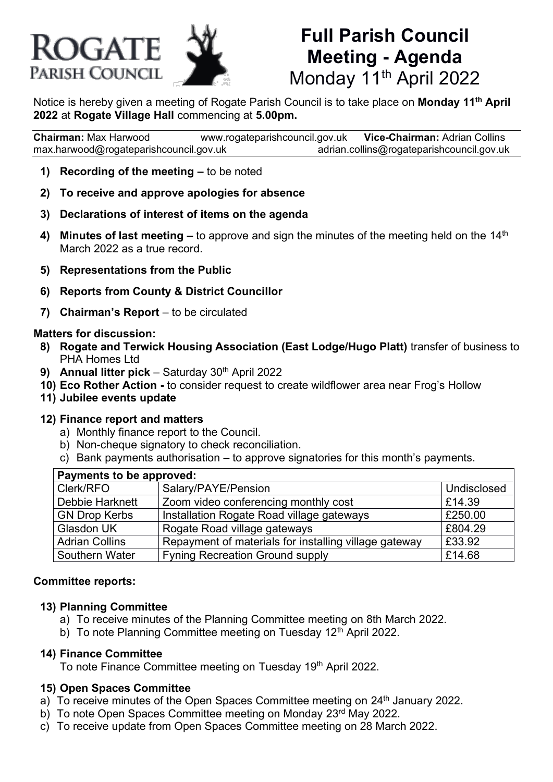

# **Full Parish Council Meeting - Agenda** Monday 11<sup>th</sup> April 2022

Notice is hereby given a meeting of Rogate Parish Council is to take place on **Monday 11th April 2022** at **Rogate Village Hall** commencing at **5.00pm.**

**Chairman:** Max Harwood [www.rogateparishcouncil.gov.uk](http://www.rogateparishcouncil.gov.uk/) **Vice-Chairman:** Adrian Collins [max.harwood@rogateparishcouncil.gov.uk](mailto:max.harwood@rogateparishcouncil.gov.uk) [adrian.collins@rogateparishcouncil.gov.uk](mailto:adrian.collins@rogateparishcouncil.gov.uk)

- **1) Recording of the meeting –** to be noted
- **2) To receive and approve apologies for absence**
- **3) Declarations of interest of items on the agenda**
- **4) Minutes of last meeting –** to approve and sign the minutes of the meeting held on the 14<sup>th</sup> March 2022 as a true record.
- **5) Representations from the Public**
- **6) Reports from County & District Councillor**
- **7) Chairman's Report** to be circulated

#### **Matters for discussion:**

- **8) Rogate and Terwick Housing Association (East Lodge/Hugo Platt)** transfer of business to PHA Homes Ltd
- **9) Annual litter pick** Saturday 30<sup>th</sup> April 2022
- **10) Eco Rother Action -** to consider request to create wildflower area near Frog's Hollow
- **11) Jubilee events update**

#### **12) Finance report and matters**

- a) Monthly finance report to the Council.
- b) Non-cheque signatory to check reconciliation.
- c) Bank payments authorisation to approve signatories for this month's payments.

| Payments to be approved: |                                                       |             |
|--------------------------|-------------------------------------------------------|-------------|
| Clerk/RFO                | Salary/PAYE/Pension                                   | Undisclosed |
| Debbie Harknett          | Zoom video conferencing monthly cost                  | £14.39      |
| <b>GN Drop Kerbs</b>     | Installation Rogate Road village gateways             | £250.00     |
| Glasdon UK               | Rogate Road village gateways                          | £804.29     |
| Adrian Collins           | Repayment of materials for installing village gateway | £33.92      |
| Southern Water           | <b>Fyning Recreation Ground supply</b>                | £14.68      |

#### **Committee reports:**

#### **13) Planning Committee**

- a) To receive minutes of the Planning Committee meeting on 8th March 2022.
- b) To note Planning Committee meeting on Tuesday 12<sup>th</sup> April 2022.

#### **14) Finance Committee**

To note Finance Committee meeting on Tuesday 19<sup>th</sup> April 2022.

#### **15) Open Spaces Committee**

- a) To receive minutes of the Open Spaces Committee meeting on  $24<sup>th</sup>$  January 2022.
- b) To note Open Spaces Committee meeting on Monday 23rd May 2022.
- c) To receive update from Open Spaces Committee meeting on 28 March 2022.